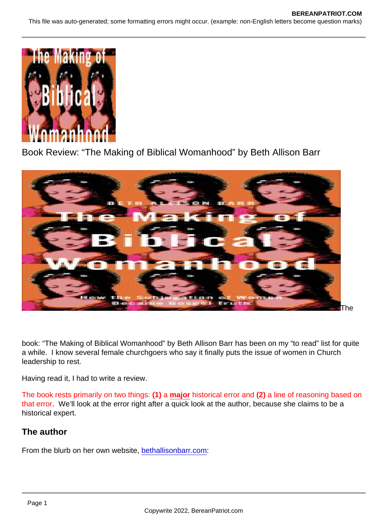# Book Review: "The Making of Biblical Womanhood" by Beth Allison Barr

**Description** 

The

book: "The Making of Biblical Womanhood" by Beth Allison Barr has been on my "to read" list for quite a while. I know several female churchgoers who say it finally puts the issue of women in Church leadership to rest.

Having read it, I had to write a review.

The book rests primarily on two things: (1) a major historical error and (2) a line of reasoning based on that error. We'll look at the error right after a quick look at the author, because she claims to be a historical expert.

The author

From the blurb on her own website, [bethallisonbarr.com](https://bethallisonbarr.com/):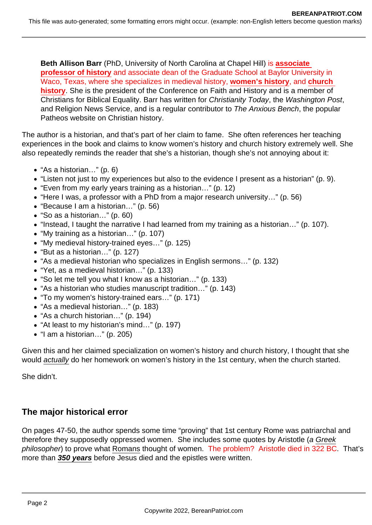**Beth Allison Barr** (PhD, University of North Carolina at Chapel Hill) is **associate professor of history** and associate dean of the Graduate School at Baylor University in Waco, Texas, where she specializes in medieval history, **women's history**, and **church history**. She is the president of the Conference on Faith and History and is a member of Christians for Biblical Equality. Barr has written for Christianity Today, the Washington Post, and Religion News Service, and is a regular contributor to The Anxious Bench, the popular Patheos website on Christian history.

The author is a historian, and that's part of her claim to fame. She often references her teaching experiences in the book and claims to know women's history and church history extremely well. She also repeatedly reminds the reader that she's a historian, though she's not annoying about it:

- "As a historian…" (p. 6)
- "Listen not just to my experiences but also to the evidence I present as a historian" (p. 9).
- "Even from my early years training as a historian…" (p. 12)
- "Here I was, a professor with a PhD from a major research university…" (p. 56)
- "Because I am a historian…" (p. 56)
- "So as a historian…" (p. 60)
- "Instead, I taught the narrative I had learned from my training as a historian…" (p. 107).
- "My training as a historian…" (p. 107)
- "My medieval history-trained eyes…" (p. 125)
- "But as a historian…" (p. 127)
- "As a medieval historian who specializes in English sermons…" (p. 132)
- "Yet, as a medieval historian…" (p. 133)
- "So let me tell you what I know as a historian…" (p. 133)
- "As a historian who studies manuscript tradition…" (p. 143)
- "To my women's history-trained ears…" (p. 171)
- "As a medieval historian…" (p. 183)
- "As a church historian…" (p. 194)
- "At least to my historian's mind…" (p. 197)
- "I am a historian…" (p. 205)

Given this and her claimed specialization on women's history and church history, I thought that she would actually do her homework on women's history in the 1st century, when the church started.

She didn't.

# **The major historical error**

On pages 47-50, the author spends some time "proving" that 1st century Rome was patriarchal and therefore they supposedly oppressed women. She includes some quotes by Aristotle (a Greek philosopher) to prove what Romans thought of women. The problem? Aristotle died in 322 BC. That's more than **350 years** before Jesus died and the epistles were written.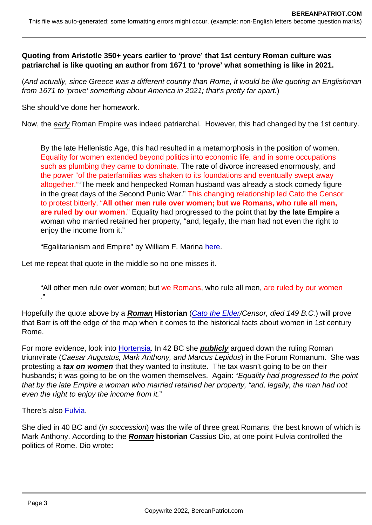Quoting from Aristotle 350+ years earlier to 'prove' that 1st century Roman culture was patriarchal is like quoting an author from 1671 to 'prove' what something is like in 2021.

(And actually, since Greece was a different country than Rome, it would be like quoting an Englishman from 1671 to 'prove' something about America in 2021; that's pretty far apart.)

She should've done her homework.

Now, the early Roman Empire was indeed patriarchal. However, this had changed by the 1st century.

By the late Hellenistic Age, this had resulted in a metamorphosis in the position of women. Equality for women extended beyond politics into economic life, and in some occupations such as plumbing they came to dominate. The rate of divorce increased enormously, and the power "of the paterfamilias was shaken to its foundations and eventually swept away altogether.""The meek and henpecked Roman husband was already a stock comedy figure in the great days of the Second Punic War." This changing relationship led Cato the Censor to protest bitterly, "All other men rule over women; but we Romans, who rule all men, are ruled by our women ." Equality had progressed to the point that by the late Empire a woman who married retained her property, "and, legally, the man had not even the right to enjoy the income from it."

"Egalitarianism and Empire" by William F. Marina [here](http://www.independent.org/publications/article.asp?id=1410).

Let me repeat that quote in the middle so no one misses it.

"All other men rule over women; but we Romans, who rule all men, are ruled by our women ."

Hopefully the quote above by a Roman Historian [\(Cato the Elder/](https://www.britannica.com/biography/Marcus-Porcius-Cato-Roman-statesman-234-149-BC)Censor, died 149 B.C.) will prove that Barr is off the edge of the map when it comes to the historical facts about women in 1st century Rome.

For more evidence, look into [Hortensia](https://www.britannica.com/biography/Hortensia). In 42 BC she publicly argued down the ruling Roman triumvirate (Caesar Augustus, Mark Anthony, and Marcus Lepidus) in the Forum Romanum. She was protesting a tax on women that they wanted to institute. The tax wasn't going to be on their husbands; it was going to be on the women themselves. Again: "Equality had progressed to the point that by the late Empire a woman who married retained her property, "and, legally, the man had not even the right to enjoy the income from it."

There's also [Fulvia.](https://www.britannica.com/biography/Fulvia-wife-of-Mark-Antony)

She died in 40 BC and (in succession) was the wife of three great Romans, the best known of which is Mark Anthony. According to the Roman historian Cassius Dio, at one point Fulvia controlled the politics of Rome. Dio wrote: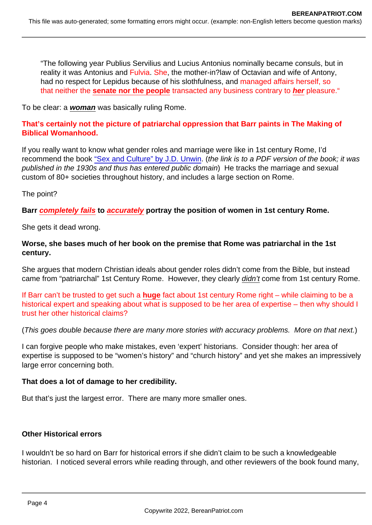"The following year Publius Servilius and Lucius Antonius nominally became consuls, but in reality it was Antonius and Fulvia. She, the mother-in?law of Octavian and wife of Antony, had no respect for Lepidus because of his slothfulness, and managed affairs herself, so that neither the senate nor the people transacted any business contrary to her pleasure."

To be clear: a woman was basically ruling Rome.

That's certainly not the picture of patriarchal oppression that Barr paints in The Making of Biblical Womanhood.

If you really want to know what gender roles and marriage were like in 1st century Rome, I'd recommend the book ["Sex and Culture" by J.D. Unwin](https://www.bereanpatriot.com/wp-content/uploads/2018/10/Sex-and-Culture-Jd-Unwin.pdf). (the link is to a PDF version of the book; it was published in the 1930s and thus has entered public domain) He tracks the marriage and sexual custom of 80+ societies throughout history, and includes a large section on Rome.

The point?

Barr completely fails to accurately portray the position of women in 1st century Rome.

She gets it dead wrong.

Worse, she bases much of her book on the premise that Rome was patriarchal in the 1st century.

She argues that modern Christian ideals about gender roles didn't come from the Bible, but instead came from "patriarchal" 1st Century Rome. However, they clearly didn't come from 1st century Rome.

If Barr can't be trusted to get such a huge fact about 1st century Rome right – while claiming to be a historical expert and speaking about what is supposed to be her area of expertise – then why should I trust her other historical claims?

(This goes double because there are many more stories with accuracy problems. More on that next.)

I can forgive people who make mistakes, even 'expert' historians. Consider though: her area of expertise is supposed to be "women's history" and "church history" and yet she makes an impressively large error concerning both.

That does a lot of damage to her credibility.

But that's just the largest error. There are many more smaller ones.

Other Historical errors

I wouldn't be so hard on Barr for historical errors if she didn't claim to be such a knowledgeable historian. I noticed several errors while reading through, and other reviewers of the book found many,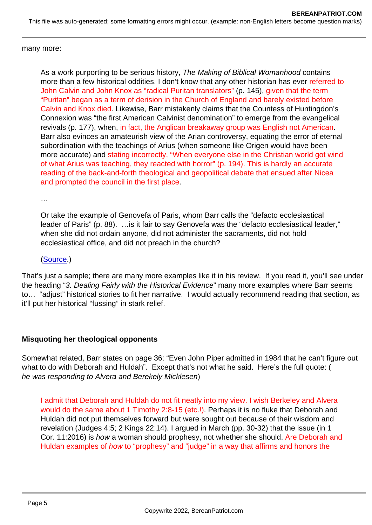many more:

As a work purporting to be serious history, The Making of Biblical Womanhood contains more than a few historical oddities. I don't know that any other historian has ever referred to John Calvin and John Knox as "radical Puritan translators" (p. 145), given that the term "Puritan" began as a term of derision in the Church of England and barely existed before Calvin and Knox died. Likewise, Barr mistakenly claims that the Countess of Huntingdon's Connexion was "the first American Calvinist denomination" to emerge from the evangelical revivals (p. 177), when, in fact, the Anglican breakaway group was English not American. Barr also evinces an amateurish view of the Arian controversy, equating the error of eternal subordination with the teachings of Arius (when someone like Origen would have been more accurate) and stating incorrectly, "When everyone else in the Christian world got wind of what Arius was teaching, they reacted with horror" (p. 194). This is hardly an accurate reading of the back-and-forth theological and geopolitical debate that ensued after Nicea and prompted the council in the first place.

…

Or take the example of Genovefa of Paris, whom Barr calls the "defacto ecclesiastical leader of Paris" (p. 88). …is it fair to say Genovefa was the "defacto ecclesiastical leader," when she did not ordain anyone, did not administer the sacraments, did not hold ecclesiastical office, and did not preach in the church?

#### ([Source](https://www.thegospelcoalition.org/themelios/article/the-making-of-biblical-womanhood-a-review/).)

That's just a sample; there are many more examples like it in his review. If you read it, you'll see under the heading "3. Dealing Fairly with the Historical Evidence" many more examples where Barr seems to… "adjust" historical stories to fit her narrative. I would actually recommend reading that section, as it'll put her historical "fussing" in stark relief.

Misquoting her theological opponents

Somewhat related, Barr states on page 36: "Even John Piper admitted in 1984 that he can't figure out what to do with Deborah and Huldah". Except that's not what he said. Here's the full quote: ( he was responding to Alvera and Berekely Micklesen)

I admit that Deborah and Huldah do not fit neatly into my view. I wish Berkeley and Alvera would do the same about 1 Timothy 2:8-15 (etc.!). Perhaps it is no fluke that Deborah and Huldah did not put themselves forward but were sought out because of their wisdom and revelation (Judges 4:5; 2 Kings 22:14). I argued in March (pp. 30-32) that the issue (in 1 Cor. 11:2016) is how a woman should prophesy, not whether she should. Are Deborah and Huldah examples of how to "prophesy" and "judge" in a way that affirms and honors the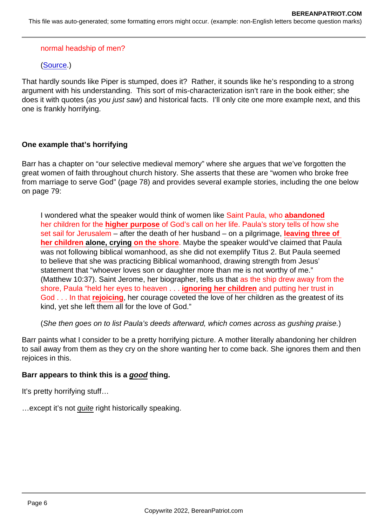#### normal headship of men?

([Source](https://www.desiringgod.org/articles/headship-and-harmony).)

That hardly sounds like Piper is stumped, does it? Rather, it sounds like he's responding to a strong argument with his understanding. This sort of mis-characterization isn't rare in the book either; she does it with quotes (as you just saw) and historical facts. I'll only cite one more example next, and this one is frankly horrifying.

#### One example that's horrifying

Barr has a chapter on "our selective medieval memory" where she argues that we've forgotten the great women of faith throughout church history. She asserts that these are "women who broke free from marriage to serve God" (page 78) and provides several example stories, including the one below on page 79:

I wondered what the speaker would think of women like Saint Paula, who abandoned her children for the higher purpose of God's call on her life. Paula's story tells of how she set sail for Jerusalem – after the death of her husband – on a pilgrimage, leaving three of her children alone, crying on the shore. Maybe the speaker would've claimed that Paula was not following biblical womanhood, as she did not exemplify Titus 2. But Paula seemed to believe that she was practicing Biblical womanhood, drawing strength from Jesus' statement that "whoever loves son or daughter more than me is not worthy of me." (Matthew 10:37). Saint Jerome, her biographer, tells us that as the ship drew away from the shore, Paula "held her eyes to heaven . . . ignoring her children and putting her trust in God . . . In that rejoicing , her courage coveted the love of her children as the greatest of its kind, yet she left them all for the love of God."

(She then goes on to list Paula's deeds afterward, which comes across as gushing praise.)

Barr paints what I consider to be a pretty horrifying picture. A mother literally abandoning her children to sail away from them as they cry on the shore wanting her to come back. She ignores them and then rejoices in this.

Barr appears to think this is a good thing.

It's pretty horrifying stuff…

…except it's not quite right historically speaking.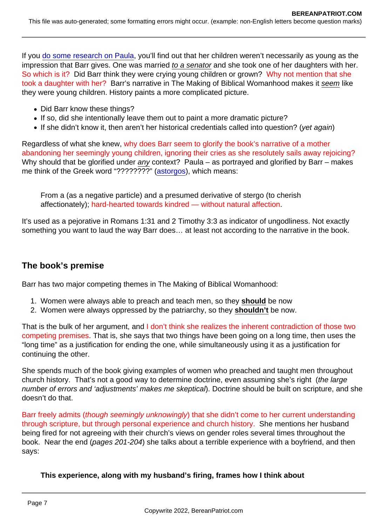If you [do some research on Paula](https://www.newadvent.org/cathen/11582a.htm), you'll find out that her children weren't necessarily as young as the impression that Barr gives. One was married to a senator and she took one of her daughters with her. So which is it? Did Barr think they were crying young children or grown? Why not mention that she took a daughter with her? Barr's narrative in The Making of Biblical Womanhood makes it seem like they were young children. History paints a more complicated picture.

- Did Barr know these things?
- If so, did she intentionally leave them out to paint a more dramatic picture?
- If she didn't know it, then aren't her historical credentials called into question? (yet again)

Regardless of what she knew, why does Barr seem to glorify the book's narrative of a mother abandoning her seemingly young children, ignoring their cries as she resolutely sails away rejoicing? Why should that be glorified under any context? Paula – as portrayed and glorified by Barr – makes me think of the Greek word "????????" [\(astorgos](https://biblehub.com/greek/794.htm)), which means:

From a (as a negative particle) and a presumed derivative of stergo (to cherish affectionately); hard-hearted towards kindred — without natural affection.

It's used as a pejorative in Romans 1:31 and 2 Timothy 3:3 as indicator of ungodliness. Not exactly something you want to laud the way Barr does… at least not according to the narrative in the book.

### The book's premise

Barr has two major competing themes in The Making of Biblical Womanhood:

- 1. Women were always able to preach and teach men, so they should be now
- 2. Women were always oppressed by the patriarchy, so they shouldn't be now.

That is the bulk of her argument, and I don't think she realizes the inherent contradiction of those two competing premises. That is, she says that two things have been going on a long time, then uses the "long time" as a justification for ending the one, while simultaneously using it as a justification for continuing the other.

She spends much of the book giving examples of women who preached and taught men throughout church history. That's not a good way to determine doctrine, even assuming she's right (the large number of errors and 'adjustments' makes me skeptical). Doctrine should be built on scripture, and she doesn't do that.

Barr freely admits (though seemingly unknowingly) that she didn't come to her current understanding through scripture, but through personal experience and church history. She mentions her husband being fired for not agreeing with their church's views on gender roles several times throughout the book. Near the end (pages 201-204) she talks about a terrible experience with a boyfriend, and then says:

This experience, along with my husband's firing, frames how I think about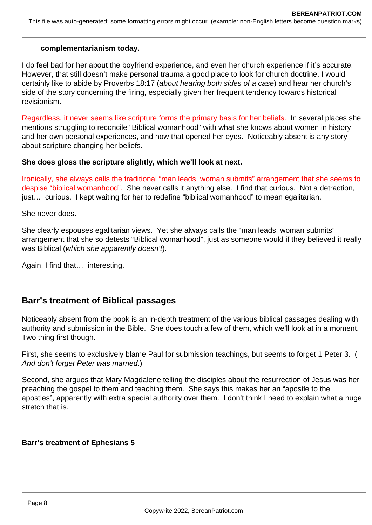#### **complementarianism today.**

I do feel bad for her about the boyfriend experience, and even her church experience if it's accurate. However, that still doesn't make personal trauma a good place to look for church doctrine. I would certainly like to abide by Proverbs 18:17 (about hearing both sides of a case) and hear her church's side of the story concerning the firing, especially given her frequent tendency towards historical revisionism.

Regardless, it never seems like scripture forms the primary basis for her beliefs. In several places she mentions struggling to reconcile "Biblical womanhood" with what she knows about women in history and her own personal experiences, and how that opened her eyes. Noticeably absent is any story about scripture changing her beliefs.

#### **She does gloss the scripture slightly, which we'll look at next.**

Ironically, she always calls the traditional "man leads, woman submits" arrangement that she seems to despise "biblical womanhood". She never calls it anything else. I find that curious. Not a detraction, just… curious. I kept waiting for her to redefine "biblical womanhood" to mean egalitarian.

She never does.

She clearly espouses egalitarian views. Yet she always calls the "man leads, woman submits" arrangement that she so detests "Biblical womanhood", just as someone would if they believed it really was Biblical (which she apparently doesn't).

Again, I find that… interesting.

## **Barr's treatment of Biblical passages**

Noticeably absent from the book is an in-depth treatment of the various biblical passages dealing with authority and submission in the Bible. She does touch a few of them, which we'll look at in a moment. Two thing first though.

First, she seems to exclusively blame Paul for submission teachings, but seems to forget 1 Peter 3. ( And don't forget Peter was married.)

Second, she argues that Mary Magdalene telling the disciples about the resurrection of Jesus was her preaching the gospel to them and teaching them. She says this makes her an "apostle to the apostles", apparently with extra special authority over them. I don't think I need to explain what a huge stretch that is.

### **Barr's treatment of Ephesians 5**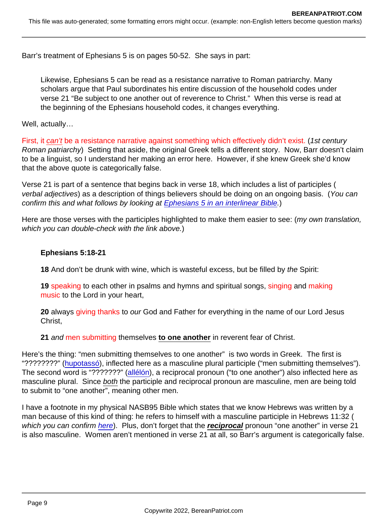Barr's treatment of Ephesians 5 is on pages 50-52. She says in part:

Likewise, Ephesians 5 can be read as a resistance narrative to Roman patriarchy. Many scholars argue that Paul subordinates his entire discussion of the household codes under verse 21 "Be subject to one another out of reverence to Christ." When this verse is read at the beginning of the Ephesians household codes, it changes everything.

Well, actually…

First, it can't be a resistance narrative against something which effectively didn't exist. (1st century Roman patriarchy) Setting that aside, the original Greek tells a different story. Now, Barr doesn't claim to be a linguist, so I understand her making an error here. However, if she knew Greek she'd know that the above quote is categorically false.

Verse 21 is part of a sentence that begins back in verse 18, which includes a list of participles ( verbal adjectives) as a description of things believers should be doing on an ongoing basis. (You can confirm this and what follows by looking at [Ephesians 5 in an interlinear Bible.](https://biblehub.com/interlinear/ephesians/5.htm))

Here are those verses with the participles highlighted to make them easier to see: (my own translation, which you can double-check with the link above.)

Ephesians 5:18-21

18 And don't be drunk with wine, which is wasteful excess, but be filled by the Spirit:

19 speaking to each other in psalms and hymns and spiritual songs, singing and making music to the Lord in your heart,

20 always giving thanks to our God and Father for everything in the name of our Lord Jesus Christ,

21 and men submitting themselves to one another in reverent fear of Christ.

Here's the thing: "men submitting themselves to one another" is two words in Greek. The first is "????????" ([hupotassó](https://biblehub.com/greek/5293.htm)), inflected here as a masculine plural participle ("men submitting themselves"). The second word is "???????" [\(allélón](https://biblehub.com/greek/240.htm)), a reciprocal pronoun ("to one another") also inflected here as masculine plural. Since both the participle and reciprocal pronoun are masculine, men are being told to submit to "one another", meaning other men.

I have a footnote in my physical NASB95 Bible which states that we know Hebrews was written by a man because of this kind of thing: he refers to himself with a masculine participle in Hebrews 11:32 ( which you can confirm [here](https://biblehub.com/interlinear/hebrews/11-32.htm)). Plus, don't forget that the reciprocal pronoun "one another" in verse 21 is also masculine. Women aren't mentioned in verse 21 at all, so Barr's argument is categorically false.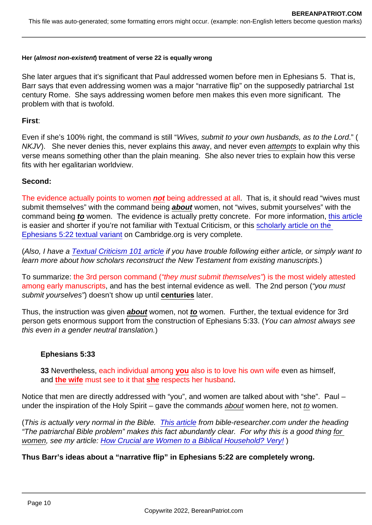Her (almost non-existent ) treatment of verse 22 is equally wrong

She later argues that it's significant that Paul addressed women before men in Ephesians 5. That is, Barr says that even addressing women was a major "narrative flip" on the supposedly patriarchal 1st century Rome. She says addressing women before men makes this even more significant. The problem with that is twofold.

First :

Even if she's 100% right, the command is still "Wives, submit to your own husbands, as to the Lord." ( NKJV). She never denies this, never explains this away, and never even attempts to explain why this verse means something other than the plain meaning. She also never tries to explain how this verse fits with her egalitarian worldview.

Second:

The evidence actually points to women not being addressed at all. That is, it should read "wives must submit themselves" with the command being about women, not "wives, submit yourselves" with the command being to women. The evidence is actually pretty concrete. For more information, [this article](https://evangelicaltextualcriticism.blogspot.com/2018/05/preferring-longer-reading-in-ephesians.html) is easier and shorter if you're not familiar with Textual Criticism, or this [scholarly article on the](https://www.cambridge.org/core/journals/new-testament-studies/article/text-of-eph-522-and-the-start-of-the-ephesian-household-code/F04630E68D2C2465301042F015246E0C)  [Ephesians 5:22 textual variant](https://www.cambridge.org/core/journals/new-testament-studies/article/text-of-eph-522-and-the-start-of-the-ephesian-household-code/F04630E68D2C2465301042F015246E0C) on Cambridge.org is very complete.

(Also, I have a [Textual Criticism 101 article](https://www.bereanpatriot.com/majority-text-vs-critical-text-vs-textus-receptus-textual-criticism-101/) if you have trouble following either article, or simply want to learn more about how scholars reconstruct the New Testament from existing manuscripts.)

To summarize: the 3rd person command ("they must submit themselves") is the most widely attested among early manuscripts, and has the best internal evidence as well. The 2nd person ("you must submit yourselves") doesn't show up until centuries later.

Thus, the instruction was given about women, not to women. Further, the textual evidence for 3rd person gets enormous support from the construction of Ephesians 5:33. (You can almost always see this even in a gender neutral translation.)

Ephesians 5:33

33 Nevertheless, each individual among you also is to love his own wife even as himself, and the wife must see to it that she respects her husband.

Notice that men are directly addressed with "you", and women are talked about with "she". Paul – under the inspiration of the Holy Spirit – gave the commands about women here, not to women.

(This is actually very normal in the Bible. [This article](http://www.bible-researcher.com/inclusive.html) from bible-researcher.com under the heading "The patriarchal Bible problem" makes this fact abundantly clear. For why this is a good thing for women, see my article: [How Crucial are Women to a Biblical Household? Very!](https://www.bereanpatriot.com/how-crucial-are-women-to-a-biblical-household-very/) )

Thus Barr's ideas about a "narrative flip" in Ephesians 5:22 are completely wrong.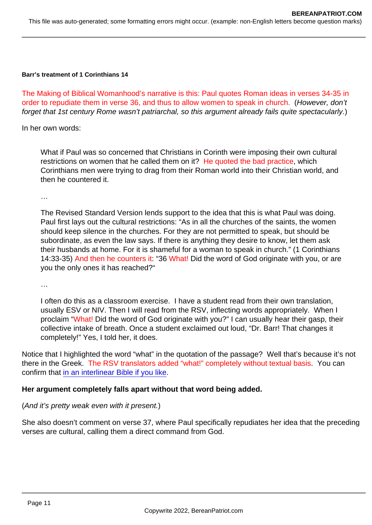Barr's treatment of 1 Corinthians 14

The Making of Biblical Womanhood's narrative is this: Paul quotes Roman ideas in verses 34-35 in order to repudiate them in verse 36, and thus to allow women to speak in church. (However, don't forget that 1st century Rome wasn't patriarchal, so this argument already fails quite spectacularly.)

In her own words:

What if Paul was so concerned that Christians in Corinth were imposing their own cultural restrictions on women that he called them on it? He quoted the bad practice, which Corinthians men were trying to drag from their Roman world into their Christian world, and then he countered it.

…

The Revised Standard Version lends support to the idea that this is what Paul was doing. Paul first lays out the cultural restrictions: "As in all the churches of the saints, the women should keep silence in the churches. For they are not permitted to speak, but should be subordinate, as even the law says. If there is anything they desire to know, let them ask their husbands at home. For it is shameful for a woman to speak in church." (1 Corinthians 14:33-35) And then he counters it: "36 What! Did the word of God originate with you, or are you the only ones it has reached?"

…

I often do this as a classroom exercise. I have a student read from their own translation, usually ESV or NIV. Then I will read from the RSV, inflecting words appropriately. When I proclaim "What! Did the word of God originate with you?" I can usually hear their gasp, their collective intake of breath. Once a student exclaimed out loud, "Dr. Barr! That changes it completely!" Yes, I told her, it does.

Notice that I highlighted the word "what" in the quotation of the passage? Well that's because it's not there in the Greek. The RSV translators added "what!" completely without textual basis. You can confirm that [in an interlinear Bible if you like](https://biblehub.com/interlinear/1_corinthians/14-36.htm).

Her argument completely falls apart without that word being added.

(And it's pretty weak even with it present.)

She also doesn't comment on verse 37, where Paul specifically repudiates her idea that the preceding verses are cultural, calling them a direct command from God.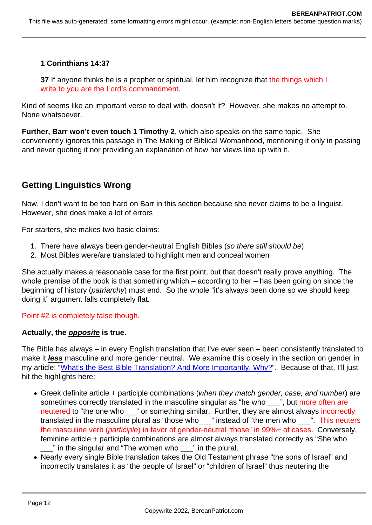1 Corinthians 14:37

37 If anyone thinks he is a prophet or spiritual, let him recognize that the things which I write to you are the Lord's commandment.

Kind of seems like an important verse to deal with, doesn't it? However, she makes no attempt to. None whatsoever.

Further, Barr won't even touch 1 Timothy 2 , which also speaks on the same topic. She conveniently ignores this passage in The Making of Biblical Womanhood, mentioning it only in passing and never quoting it nor providing an explanation of how her views line up with it.

## Getting Linguistics Wrong

Now, I don't want to be too hard on Barr in this section because she never claims to be a linguist. However, she does make a lot of errors

For starters, she makes two basic claims:

- 1. There have always been gender-neutral English Bibles (so there still should be)
- 2. Most Bibles were/are translated to highlight men and conceal women

She actually makes a reasonable case for the first point, but that doesn't really prove anything. The whole premise of the book is that something which – according to her – has been going on since the beginning of history (patriarchy) must end. So the whole "it's always been done so we should keep doing it" argument falls completely flat.

Point #2 is completely false though.

Actually, the opposite is true.

The Bible has always – in every English translation that I've ever seen – been consistently translated to make it less masculine and more gender neutral. We examine this closely in the section on gender in my article: ["What's the Best Bible Translation? And More Importantly, Why?"](https://www.bereanpatriot.com/whats-the-best-bible-translation-and-more-importantly-why/). Because of that, I'll just hit the highlights here:

- Greek definite article + participle combinations (when they match gender, case, and number) are sometimes correctly translated in the masculine singular as "he who \_\_\_", but more often are neutered to "the one who\_\_\_" or something similar. Further, they are almost always incorrectly translated in the masculine plural as "those who \_\_\_" instead of "the men who \_\_\_\_". This neuters the masculine verb (participle) in favor of gender-neutral "those" in 99%+ of cases. Conversely, feminine article + participle combinations are almost always translated correctly as "She who  $\frac{1}{2}$ " in the singular and "The women who  $\frac{1}{2}$ " in the plural.
- Nearly every single Bible translation takes the Old Testament phrase "the sons of Israel" and incorrectly translates it as "the people of Israel" or "children of Israel" thus neutering the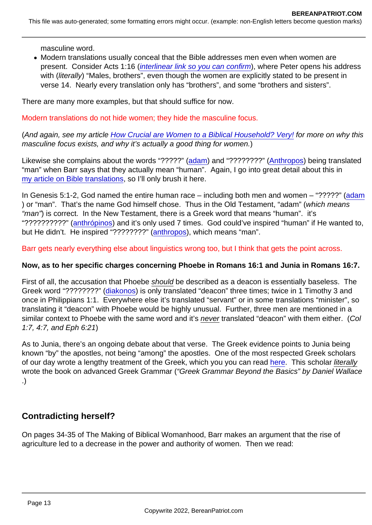masculine word.

Modern translations usually conceal that the Bible addresses men even when women are present. Consider Acts 1:16 ([interlinear link so you can confirm\)](https://biblehub.com/interlinear/acts/1-16.htm), where Peter opens his address with (literally) "Males, brothers", even though the women are explicitly stated to be present in verse 14. Nearly every translation only has "brothers", and some "brothers and sisters".

There are many more examples, but that should suffice for now.

Modern translations do not hide women; they hide the masculine focus.

(And again, see my article [How Crucial are Women to a Biblical Household? Very!](https://www.bereanpatriot.com/how-crucial-are-women-to-a-biblical-household-very/) for more on why this masculine focus exists, and why it's actually a good thing for women.)

Likewise she complains about the words "?????" ([adam\)](https://biblehub.com/hebrew/120.htm) and "????????" [\(Anthropos\)](https://biblehub.com/greek/444.htm) being translated "man" when Barr says that they actually mean "human". Again, I go into great detail about this in [my article on Bible translations,](https://www.bereanpatriot.com/whats-the-best-bible-translation-and-more-importantly-why/) so I'll only brush it here.

In Genesis 5:1-2, God named the entire human race – including both men and women – "?????" ([adam](https://biblehub.com/hebrew/120.htm) ) or "man". That's the name God himself chose. Thus in the Old Testament, "adam" (which means "man") is correct. In the New Testament, there is a Greek word that means "human". it's "???????????" [\(anthrópinos\)](https://biblehub.com/greek/442.htm) and it's only used 7 times. God could've inspired "human" if He wanted to, but He didn't. He inspired "????????" [\(anthropos](https://biblehub.com/greek/444.htm)), which means "man".

Barr gets nearly everything else about linguistics wrong too, but I think that gets the point across.

Now, as to her specific charges concerning Phoebe in Romans 16:1 and Junia in Romans 16:7.

First of all, the accusation that Phoebe should be described as a deacon is essentially baseless. The Greek word "????????" [\(diakonos](https://biblehub.com/greek/1249.htm)) is only translated "deacon" three times; twice in 1 Timothy 3 and once in Philippians 1:1. Everywhere else it's translated "servant" or in some translations "minister", so translating it "deacon" with Phoebe would be highly unusual. Further, three men are mentioned in a similar context to Phoebe with the same word and it's never translated "deacon" with them either. (Col 1:7, 4:7, and Eph 6:21)

As to Junia, there's an ongoing debate about that verse. The Greek evidence points to Junia being known "by" the apostles, not being "among" the apostles. One of the most respected Greek scholars of our day wrote a lengthy treatment of the Greek, which you you can read [here.](https://bible.org/article/junia-among-apostles-double-identification-problem-romans-167) This scholar literally wrote the book on advanced Greek Grammar ("Greek Grammar Beyond the Basics" by Daniel Wallace .)

## Contradicting herself?

On pages 34-35 of The Making of Biblical Womanhood, Barr makes an argument that the rise of agriculture led to a decrease in the power and authority of women. Then we read: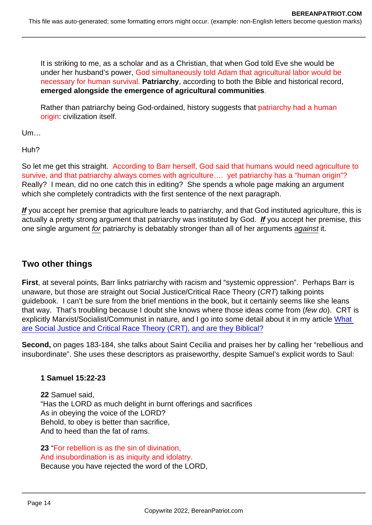It is striking to me, as a scholar and as a Christian, that when God told Eve she would be under her husband's power, God simultaneously told Adam that agricultural labor would be necessary for human survival. Patriarchy , according to both the Bible and historical record, emerged alongside the emergence of agricultural communities .

Rather than patriarchy being God-ordained, history suggests that patriarchy had a human origin: civilization itself.

Um…

Huh?

So let me get this straight. According to Barr herself, God said that humans would need agriculture to survive, and that patriarchy always comes with agriculture.... yet patriarchy has a "human origin"? Really? I mean, did no one catch this in editing? She spends a whole page making an argument which she completely contradicts with the first sentence of the next paragraph.

If you accept her premise that agriculture leads to patriarchy, and that God instituted agriculture, this is actually a pretty strong argument that patriarchy was instituted by God. If you accept her premise, this one single argument for patriarchy is debatably stronger than all of her arguments against it.

### Two other things

First , at several points, Barr links patriarchy with racism and "systemic oppression". Perhaps Barr is unaware, but those are straight out Social Justice/Critical Race Theory (CRT) talking points guidebook. I can't be sure from the brief mentions in the book, but it certainly seems like she leans that way. That's troubling because I doubt she knows where those ideas come from (few do). CRT is explicitly Marxist/Socialist/Communist in nature, and I go into some detail about it in my article [What](https://www.bereanpatriot.com/what-are-social-justice-and-critical-race-theory-crt-and-are-they-biblical/)  [are Social Justice and Critical Race Theory \(CRT\), and are they Biblical?](https://www.bereanpatriot.com/what-are-social-justice-and-critical-race-theory-crt-and-are-they-biblical/)

Second, on pages 183-184, she talks about Saint Cecilia and praises her by calling her "rebellious and insubordinate". She uses these descriptors as praiseworthy, despite Samuel's explicit words to Saul:

1 Samuel 15:22-23

22 Samuel said, "Has the LORD as much delight in burnt offerings and sacrifices As in obeying the voice of the LORD? Behold, to obey is better than sacrifice, And to heed than the fat of rams.

23 "For rebellion is as the sin of divination, And insubordination is as iniquity and idolatry. Because you have rejected the word of the LORD,